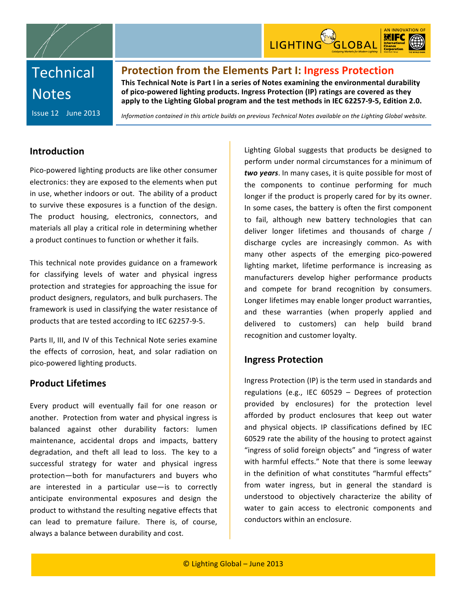



# **Technical Notes**

Issue
12

June
2013

**Protection from the Elements Part I: Ingress Protection** This Technical Note is Part I in a series of Notes examining the environmental durability of pico-powered lighting products. Ingress Protection (IP) ratings are covered as they apply to the Lighting Global program and the test methods in IEC 62257-9-5, Edition 2.0.

Information contained in this article builds on previous Technical Notes available on the Lighting Global website.

### **Introduction**

Pico‐powered
lighting
products
are
like
other
consumer electronics: they
are
exposed
to
the
elements
when put in use, whether indoors or out. The ability of a product to
 survive
 these
exposures
 is
a
 function
 of
the
 design. The
 product
 housing,
 electronics,
 connectors, and materials
all
play
a
critical
role
in
determining
whether a product continues to function or whether it fails.

This
 technical
 note
 provides
 guidance
 on
 a
 framework for
 classifying
 levels
 of
 water
 and
 physical
 ingress protection
and
strategies
 for
approaching
 the
issue
 for product
designers,
regulators,
and
bulk
purchasers.
The framework is used in classifying the water resistance of products
that
are
tested
according
to
IEC
62257‐9‐5.

Parts II, III, and IV of this Technical Note series examine the effects
 of
 corrosion,
 heat,
 and solar
 radiation
 on pico‐powered
lighting
products.

### **Product
Lifetimes**

Every product will eventually fail for one reason or another. Protection
 from
water
and
physical
ingress
is balanced
 against
 other
 durability
 factors:
 lumen maintenance,
 accidental
 drops
 and
 impacts,
 battery degradation, and theft all lead to loss. The key to a successful
 strategy
 for
 water
 and
 physical
 ingress protection—both
 for
 manufacturers
 and
 buyers
 who are
 interested
 in
 a
 particular
 use—is to
 correctly anticipate environmental
 exposures
 and
 design
 the product
to
withstand
the
resulting
negative
effects
that can
 lead
 to
 premature
 failure. There
 is,
 of
 course, always
a
balance
between
durability
and
cost.

Lighting Global suggests that products be designed to perform
under
normal
circumstances
for
a
minimum
of two years. In many cases, it is quite possible for most of the components to continue performing for much longer if the product is properly cared for by its owner. In
some
cases,
the
battery
is
often
the
first
component to
 fail,
 although
 new
 battery
 technologies
 that can deliver longer lifetimes and thousands of charge / discharge cycles are increasingly common. As with many
 other
 aspects
 of
 the
 emerging
 pico‐powered lighting market, lifetime performance is increasing as manufacturers
 develop
 higher
 performance
 products and compete for brand recognition by consumers. Longer lifetimes may enable longer product warranties, and
 these
 warranties
 (when
 properly
 applied
 and delivered
 to
 customers)
 can
 help
 build
 brand recognition
and
customer
loyalty.

### **Ingress
Protection**

Ingress
Protection (IP)
is
the
term
used
in
standards
and regulations
 (e.g.,
 IEC
 60529 –
 Degrees
 of
 protection provided
 by
 enclosures) for
 the
 protection
 level afforded
 by
 product
 enclosures
 that
 keep
 out
 water and
 physical
 objects.
 IP classifications
 defined
 by
 IEC 60529 rate the ability of the housing to protect against "ingress of solid foreign objects" and "ingress of water with harmful effects." Note that there is some leeway in the definition of what constitutes "harmful effects" from water
 ingress,
 but
 in
 general
 the
 standard is understood
 to
 objectively
 characterize
 the ability
 of water to gain access to electronic components and conductors
within
an
enclosure.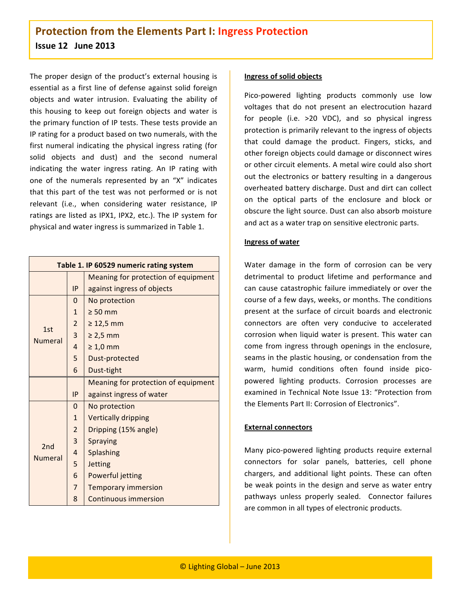The proper design of the product's external housing is essential
as
a
 first
line
 of
 defense
against
solid
foreign objects
 and
 water
 intrusion. Evaluating
 the
 ability
 of this housing to keep out foreign objects and water is the
primary
function
of
IP
tests.
These
tests
provide
an IP
rating
for
a
product
based
on
two
numerals,
with
the first numeral indicating the physical ingress rating (for solid objects and dust) and the second numeral indicating the water ingress rating. An IP rating with one
 of
 the
 numerals
 represented
 by
 an "X"
 indicates that
 this
 part
 of
 the
 test
 was
 not
 performed
 or
 is not relevant
 (i.e.,
 when
 considering
 water
 resistance,
 IP ratings
are
listed
as
IPX1,
IPX2,
etc.). The
IP
system
 for physical
and
water
ingress
is
summarized
in
Table
1.

| Table 1. IP 60529 numeric rating system |                |                                     |  |  |
|-----------------------------------------|----------------|-------------------------------------|--|--|
|                                         |                | Meaning for protection of equipment |  |  |
|                                         | IP             | against ingress of objects          |  |  |
|                                         | 0              | No protection                       |  |  |
|                                         | 1              | $\geq 50$ mm                        |  |  |
| 1st                                     | $\overline{2}$ | $\geq 12,5$ mm                      |  |  |
| <b>Numeral</b>                          | 3              | $\geq 2.5$ mm                       |  |  |
|                                         | 4              | $\geq 1,0$ mm                       |  |  |
|                                         | 5              | Dust-protected                      |  |  |
|                                         | 6              | Dust-tight                          |  |  |
|                                         |                | Meaning for protection of equipment |  |  |
|                                         | IP             | against ingress of water            |  |  |
|                                         | $\Omega$       | No protection                       |  |  |
|                                         | 1              | <b>Vertically dripping</b>          |  |  |
| 2nd<br><b>Numeral</b>                   | $\overline{2}$ | Dripping (15% angle)                |  |  |
|                                         | 3              | <b>Spraying</b>                     |  |  |
|                                         | 4              | <b>Splashing</b>                    |  |  |
|                                         | 5              | <b>Jetting</b>                      |  |  |
|                                         | 6              | Powerful jetting                    |  |  |
|                                         | $\overline{7}$ | <b>Temporary immersion</b>          |  |  |
|                                         | 8              | <b>Continuous immersion</b>         |  |  |

#### **Ingress
of
solid
objects**

Pico-powered lighting products commonly use low voltages
 that
 do
 not
 present
 an
 electrocution
 hazard for people (i.e. >20 VDC), and so physical ingress protection is primarily relevant to the ingress of objects that
 could
 damage
 the
 product.
 Fingers,
 sticks,
 and other
foreign
objects
could
damage
or
disconnect
wires or
other
circuit
elements.
A
metal
wire
could
also
short out the electronics or battery resulting in a dangerous overheated
battery
discharge.
Dust
and
dirt
can
collect on
 the
 optical
 parts
 of
 the
 enclosure
 and
 block
 or obscure the light source. Dust can also absorb moisture and
act
as
a
water
trap
on
sensitive
electronic
parts.

#### **Ingress
of
water**

Water damage in the form of corrosion can be very detrimental to product lifetime and performance and can
cause
catastrophic
 failure
immediately
or
over
 the course
of
a
few
days,
weeks,
or
months.
The
conditions present
 at
 the
 surface
 of
 circuit
 boards
 and
 electronic connectors
 are
 often
 very
 conducive
 to
 accelerated corrosion
when
liquid
water
is
present.
This
water
can come
 from
 ingress
 through
 openings
 in
 the
enclosure, seams
in
the
plastic
housing,
or
condensation
from
the warm, humid conditions often found inside picopowered
 lighting
 products.
 Corrosion
 processes
 are examined
in
Technical
Note
Issue
13:
"Protection
 from the Elements Part II: Corrosion of Electronics".

#### **External
connectors**

Many pico-powered lighting products require external connectors
 for
 solar
 panels,
 batteries,
 cell
 phone chargers, and additional light points. These can often be
weak
points
in
 the
design
and
serve
as
water
entry pathways
 unless
 properly
 sealed. Connector
 failures are
common
in
all
types
of
electronic
products.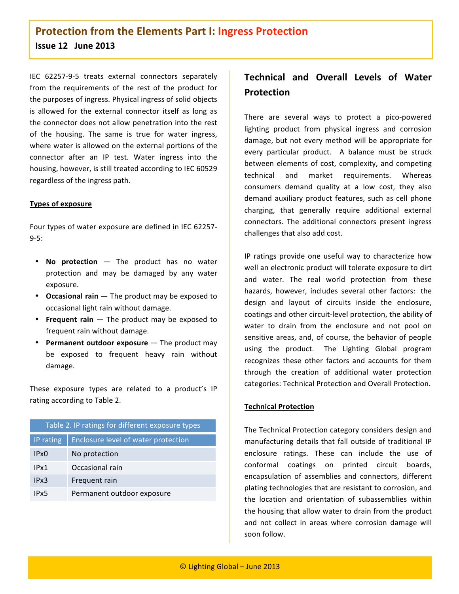IEC
 62257‐9‐5
 treats
 external
 connectors
 separately from the requirements of the rest of the product for the
purposes
of
ingress.
Physical
ingress
of
solid
objects is allowed for the external connector itself as long as the
connector
does
not
allow
penetration
into
the
rest of
 the
 housing.
 The
 same
 is
 true
 for
 water
 ingress, where water is allowed on the external portions of the connector after an IP test. Water ingress into the housing,
however,
is
still
treated
according
to
IEC
60529 regardless
of
the
ingress
path.

#### **Types
of
exposure**

Four
types
of
water
exposure
are
defined
in
IEC
62257‐ 9‐5:

- No protection The product has no water protection and may be damaged by any water exposure.
- Occasional rain The product may be exposed to occasional
light
rain
without
damage.
- Frequent rain The product may be exposed to frequent
rain
without
damage.
- Permanent outdoor exposure The product may be
 exposed
 to
 frequent
 heavy
 rain
 without damage.

These exposure types are related to a product's IP rating
according
to
Table
2.

| Table 2. IP ratings for different exposure types |                                     |  |  |
|--------------------------------------------------|-------------------------------------|--|--|
| IP rating                                        | Enclosure level of water protection |  |  |
| IPx()                                            | No protection                       |  |  |
| IPx1                                             | Occasional rain                     |  |  |
| IPx3                                             | Frequent rain                       |  |  |
| IPx5                                             | Permanent outdoor exposure          |  |  |

# **Technical and Overall Levels of Water Protection**

There
 are
 several
 ways
 to
 protect
 a
 pico‐powered lighting product from physical ingress and corrosion damage, but not every method will be appropriate for every particular product. A balance must be struck between
elements
 of
 cost,
 complexity,
 and
 competing technical
 and
 market
 requirements. Whereas consumers demand quality at a low cost, they also demand
 auxiliary
 product
 features,
 such as
 cell
 phone charging,
 that
 generally
 require
 additional
 external connectors.
 The
 additional
 connectors
 present
 ingress challenges
that
also
add
cost.

IP
 ratings
 provide
 one
 useful
 way
 to
 characterize
 how well
an
electronic
product
will
tolerate
exposure
to
dirt and
 water.
 The real
 world protection
 from
 these hazards,
 however,
 includes
 several
 other
 factors: the design and layout of circuits inside the enclosure, coatings
and
other
circuit‐level
protection,
the
ability
of water to drain from the enclosure and not pool on sensitive
areas,
and,
of
course,
 the
 behavior
of
 people using
 the
 product. The
 Lighting
 Global
 program recognizes these other factors and accounts for them through the creation of additional water protection categories:
Technical
Protection
and
Overall
Protection.

#### **Technical
Protection**

The
Technical
Protection
category
considers
design
and manufacturing details that fall outside of traditional IP enclosure
 ratings.
 These
 can
 include
 the
 use
 of conformal
 coatings
 on
 printed
 circuit
 boards, encapsulation
 of
 assemblies
 and
 connectors,
 different plating
technologies
that
are
resistant
to
corrosion,
and the
 location
 and
 orientation
 of
 subassemblies
 within the
housing
that
allow
water
to
drain
from
the
product and
 not
 collect
 in
 areas
 where
 corrosion
 damage
 will soon
follow.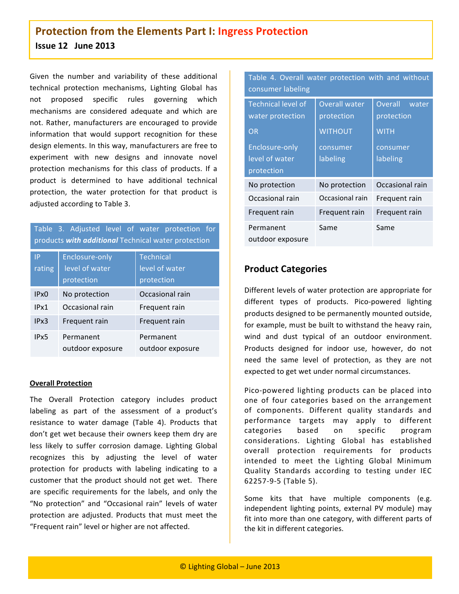Given the number and variability of these additional technical
 protection
 mechanisms,
 Lighting
 Global
 has not
 proposed
 specific
 rules
 governing
 which mechanisms
 are
 considered
 adequate
 and
 which
 are not.
 Rather,
manufacturers
are
encouraged
 to
 provide information that would support recognition for these design
elements.
In
this
way,
manufacturers
are
free
to experiment
 with
 new
 designs
 and
 innovate
 novel protection mechanisms for this class of products. If a product
 is
 determined
 to
 have
 additional
 technical protection, the water protection for that product is adjusted
according
to
Table
3.

| Table 3. Adjusted level of water protection for<br>products with additional Technical water protection |                                                       |                                                  |  |  |  |
|--------------------------------------------------------------------------------------------------------|-------------------------------------------------------|--------------------------------------------------|--|--|--|
| IP<br>rating                                                                                           | <b>Enclosure-only</b><br>level of water<br>protection | <b>Technical</b><br>level of water<br>protection |  |  |  |
| IPx <sub>0</sub>                                                                                       | No protection                                         | Occasional rain                                  |  |  |  |
| IPx1                                                                                                   | Occasional rain                                       | Frequent rain                                    |  |  |  |
| IPx3                                                                                                   | Frequent rain                                         | Frequent rain                                    |  |  |  |
| IPx5                                                                                                   | Permanent<br>outdoor exposure                         | Permanent<br>outdoor exposure                    |  |  |  |

#### **Overall
Protection**

The
 Overall Protection category
 includes
 product labeling as part of the assessment of a product's resistance
 to
 water
 damage (Table 4).
 Products
 that don't
get
wet
because
their
owners
keep
them
dry
are less likely to suffer corrosion damage. Lighting Global recognizes
 this
 by
 adjusting the
 level
 of
 water protection for products with labeling indicating to a customer that the product should not get wet. There are
 specific
 requirements
 for
 the
 labels,
 and
 only
 the "No protection" and "Occasional rain" levels of water protection
 are
 adjusted.
 Products
 that
 must
 meet
 the "Frequent
rain"
level
or
higher
are
not
affected.

Table 4. Overall water protection with and without consumer
labeling

| <b>Technical level of</b><br>water protection         | <b>Overall water</b><br>protection | Overall<br>water<br>protection |
|-------------------------------------------------------|------------------------------------|--------------------------------|
| <b>OR</b>                                             | <b>WITHOUT</b>                     | <b>WITH</b>                    |
| <b>Enclosure-only</b><br>level of water<br>protection | consumer<br>labeling               | consumer<br>labeling           |
| No protection                                         | No protection                      | Occasional rain                |
| Occasional rain                                       | Occasional rain                    | Frequent rain                  |
| Frequent rain                                         | Frequent rain                      | Frequent rain                  |
| Permanent<br>outdoor exposure                         | Same                               | Same                           |

### **Product
Categories**

Different
levels
of
water
protection
are
appropriate
for different
 types
 of
 products.
 Pico‐powered
 lighting products
designed
to
be
permanently
mounted
outside, for example, must be built to withstand the heavy rain, wind and dust typical of an outdoor environment. Products designed for indoor use, however, do not need the same level of protection, as they are not expected
to
get
wet
under
normal
circumstances.

Pico‐powered
 lighting
 products can
 be
 placed
 into one
 of
 four
 categories
 based
 on
 the
 arrangement of
 components.
 Different
 quality
 standards
 and performance
 targets
 may
 apply
 to
 different categories
 based
 on
 specific
 program considerations.
 Lighting Global has
 established overall protection requirements for products intended
 to meet
 the
 Lighting
 Global
 Minimum Quality Standards according to testing under IEC 62257‐9‐5
(Table
5).

Some kits that have multiple components (e.g. independent lighting points, external PV module) may fit into more than one category, with different parts of the
kit
in
different
categories.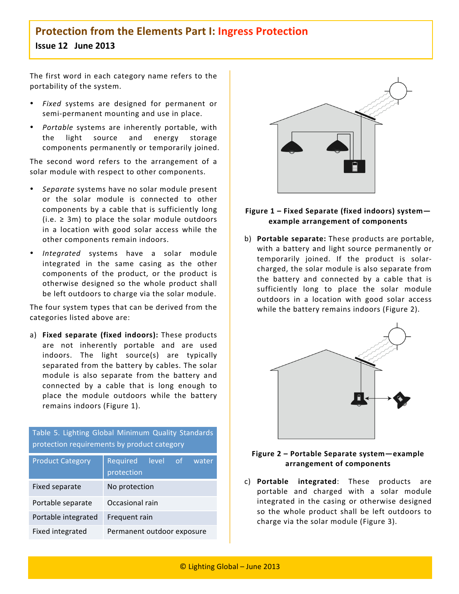The first word in each category name refers to the portability
of
the
system.

- Fixed systems are designed for permanent or semi-permanent mounting and use in place.
- Portable systems are inherently portable, with the
 light
 source
 and
 energy
 storage components
permanently
or
 temporarily
joined.

The second word refers to the arrangement of a solar
module
with
respect
to
other components.

- Separate systems have no solar module present or
 the
 solar
 module
 is
 connected
 to
 other components by a cable that is sufficiently long  $(i.e. \geq 3m)$  to place the solar module outdoors in
 a
 location
 with
 good
 solar
 access
 while
 the other
components
remain
indoors.
- Integrated systems have a solar module integrated in the same casing as the other components of
 the
 product, or the
 product is otherwise designed so the whole product shall be
left
outdoors
to
charge
via
the
solar
module.

The
four
system
types
that
can
be
derived
from
the categories
listed
above
are:

a) **Fixed separate (fixed indoors):** These products are
 not
 inherently
 portable
 and
 are
 used indoors. The light source(s) are typically separated
 from
the
battery
by
cables.
The
solar module
 is
 also
 separate
 from
 the
 battery
 and connected by a cable that is long enough to place the module outdoors while the battery remains
indoors
(Figure
1).

Table
 5.
 Lighting
 Global
Minimum
 Quality
 Standards protection requirements by product category

| <b>Product Category</b> | Required<br>level<br><sub>of</sub><br>water<br>protection |  |  |
|-------------------------|-----------------------------------------------------------|--|--|
| Fixed separate          | No protection                                             |  |  |
| Portable separate       | Occasional rain                                           |  |  |
| Portable integrated     | Frequent rain                                             |  |  |
| Fixed integrated        | Permanent outdoor exposure                                |  |  |



#### **Figure
1 –
Fixed
Separate
(fixed
indoors)
system example
arrangement
of
components**

b) **Portable
separate:** These
products
are
portable, with a battery and light source permanently or temporarily joined. If the product is solarcharged,
the
solar
module
is
also
separate
from the battery and connected by a cable that is sufficiently long to place the solar module outdoors in a location with good solar access while the battery remains indoors (Figure 2).



#### **Figure
2 –
Portable
Separate
system—example arrangement
of
components**

c) **Portable
 integrated**: These
 products
 are portable
 and
 charged
 with
 a
 solar
 module integrated in the casing or otherwise designed so the whole product shall be left outdoors to charge via the solar module (Figure 3).